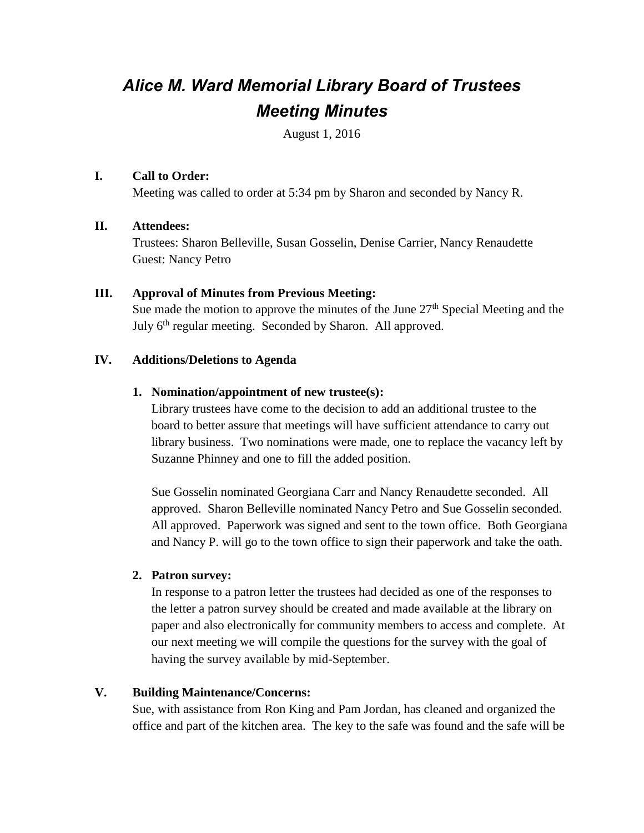# *Alice M. Ward Memorial Library Board of Trustees Meeting Minutes*

August 1, 2016

# **I. Call to Order:**

Meeting was called to order at 5:34 pm by Sharon and seconded by Nancy R.

# **II. Attendees:**

Trustees: Sharon Belleville, Susan Gosselin, Denise Carrier, Nancy Renaudette Guest: Nancy Petro

# **III. Approval of Minutes from Previous Meeting:**

Sue made the motion to approve the minutes of the June  $27<sup>th</sup>$  Special Meeting and the July 6<sup>th</sup> regular meeting. Seconded by Sharon. All approved.

# **IV. Additions/Deletions to Agenda**

# **1. Nomination/appointment of new trustee(s):**

Library trustees have come to the decision to add an additional trustee to the board to better assure that meetings will have sufficient attendance to carry out library business. Two nominations were made, one to replace the vacancy left by Suzanne Phinney and one to fill the added position.

Sue Gosselin nominated Georgiana Carr and Nancy Renaudette seconded. All approved. Sharon Belleville nominated Nancy Petro and Sue Gosselin seconded. All approved. Paperwork was signed and sent to the town office. Both Georgiana and Nancy P. will go to the town office to sign their paperwork and take the oath.

# **2. Patron survey:**

In response to a patron letter the trustees had decided as one of the responses to the letter a patron survey should be created and made available at the library on paper and also electronically for community members to access and complete. At our next meeting we will compile the questions for the survey with the goal of having the survey available by mid-September.

# **V. Building Maintenance/Concerns:**

Sue, with assistance from Ron King and Pam Jordan, has cleaned and organized the office and part of the kitchen area. The key to the safe was found and the safe will be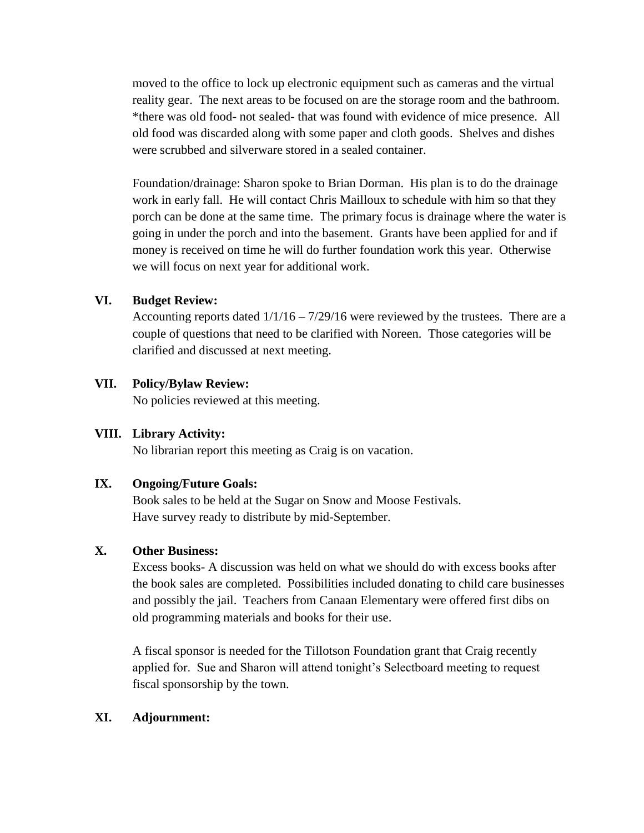moved to the office to lock up electronic equipment such as cameras and the virtual reality gear. The next areas to be focused on are the storage room and the bathroom. \*there was old food- not sealed- that was found with evidence of mice presence. All old food was discarded along with some paper and cloth goods. Shelves and dishes were scrubbed and silverware stored in a sealed container.

Foundation/drainage: Sharon spoke to Brian Dorman. His plan is to do the drainage work in early fall. He will contact Chris Mailloux to schedule with him so that they porch can be done at the same time. The primary focus is drainage where the water is going in under the porch and into the basement. Grants have been applied for and if money is received on time he will do further foundation work this year. Otherwise we will focus on next year for additional work.

#### **VI. Budget Review:**

Accounting reports dated  $1/1/16 - 7/29/16$  were reviewed by the trustees. There are a couple of questions that need to be clarified with Noreen. Those categories will be clarified and discussed at next meeting.

#### **VII. Policy/Bylaw Review:**

No policies reviewed at this meeting.

# **VIII. Library Activity:**

No librarian report this meeting as Craig is on vacation.

# **IX. Ongoing/Future Goals:**

Book sales to be held at the Sugar on Snow and Moose Festivals. Have survey ready to distribute by mid-September.

# **X. Other Business:**

Excess books- A discussion was held on what we should do with excess books after the book sales are completed. Possibilities included donating to child care businesses and possibly the jail. Teachers from Canaan Elementary were offered first dibs on old programming materials and books for their use.

A fiscal sponsor is needed for the Tillotson Foundation grant that Craig recently applied for. Sue and Sharon will attend tonight's Selectboard meeting to request fiscal sponsorship by the town.

#### **XI. Adjournment:**